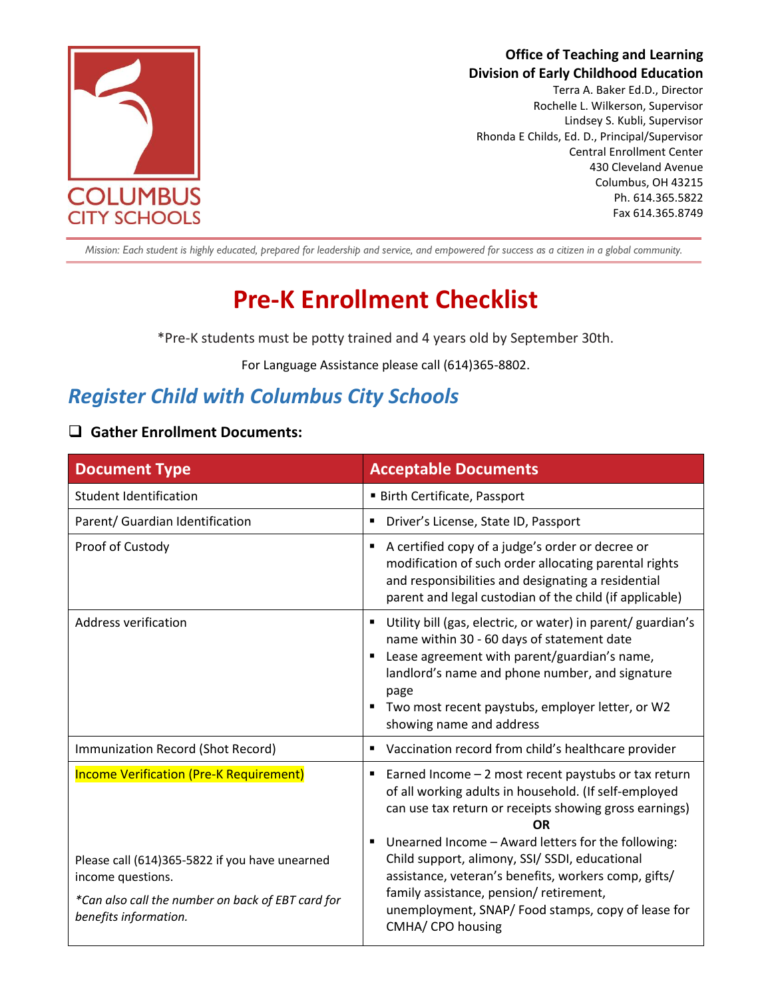

# **Office of Teaching and Learning Division of Early Childhood Education**

Terra A. Baker Ed.D., Director Rochelle L. Wilkerson, Supervisor Lindsey S. Kubli, Supervisor Rhonda E Childs, Ed. D., Principal/Supervisor Central Enrollment Center 430 Cleveland Avenue Columbus, OH 43215 Ph. 614.365.5822 Fax 614.365.8749

Mission: Each student is highly educated, prepared for leadership and service, and empowered for success as a citizen in a global community.

# **Pre-K Enrollment Checklist**

\*Pre-K students must be potty trained and 4 years old by September 30th.

For Language Assistance please call (614)365-8802.

# *Register Child with Columbus City Schools*

### ❑ **Gather Enrollment Documents:**

| <b>Document Type</b>                                                                                                                              | <b>Acceptable Documents</b>                                                                                                                                                                                                                                                                           |
|---------------------------------------------------------------------------------------------------------------------------------------------------|-------------------------------------------------------------------------------------------------------------------------------------------------------------------------------------------------------------------------------------------------------------------------------------------------------|
| Student Identification                                                                                                                            | <b>Birth Certificate, Passport</b>                                                                                                                                                                                                                                                                    |
| Parent/ Guardian Identification                                                                                                                   | Driver's License, State ID, Passport<br>п                                                                                                                                                                                                                                                             |
| Proof of Custody                                                                                                                                  | A certified copy of a judge's order or decree or<br>٠<br>modification of such order allocating parental rights<br>and responsibilities and designating a residential<br>parent and legal custodian of the child (if applicable)                                                                       |
| Address verification                                                                                                                              | Utility bill (gas, electric, or water) in parent/ guardian's<br>name within 30 - 60 days of statement date<br>Lease agreement with parent/guardian's name,<br>landlord's name and phone number, and signature<br>page<br>Two most recent paystubs, employer letter, or W2<br>showing name and address |
| Immunization Record (Shot Record)                                                                                                                 | Vaccination record from child's healthcare provider<br>Е                                                                                                                                                                                                                                              |
| <b>Income Verification (Pre-K Requirement)</b>                                                                                                    | Earned Income - 2 most recent paystubs or tax return<br>٠<br>of all working adults in household. (If self-employed<br>can use tax return or receipts showing gross earnings)<br>ΩR                                                                                                                    |
| Please call (614)365-5822 if you have unearned<br>income questions.<br>*Can also call the number on back of EBT card for<br>benefits information. | Unearned Income - Award letters for the following:<br>П<br>Child support, alimony, SSI/ SSDI, educational<br>assistance, veteran's benefits, workers comp, gifts/<br>family assistance, pension/ retirement,<br>unemployment, SNAP/Food stamps, copy of lease for<br>CMHA/ CPO housing                |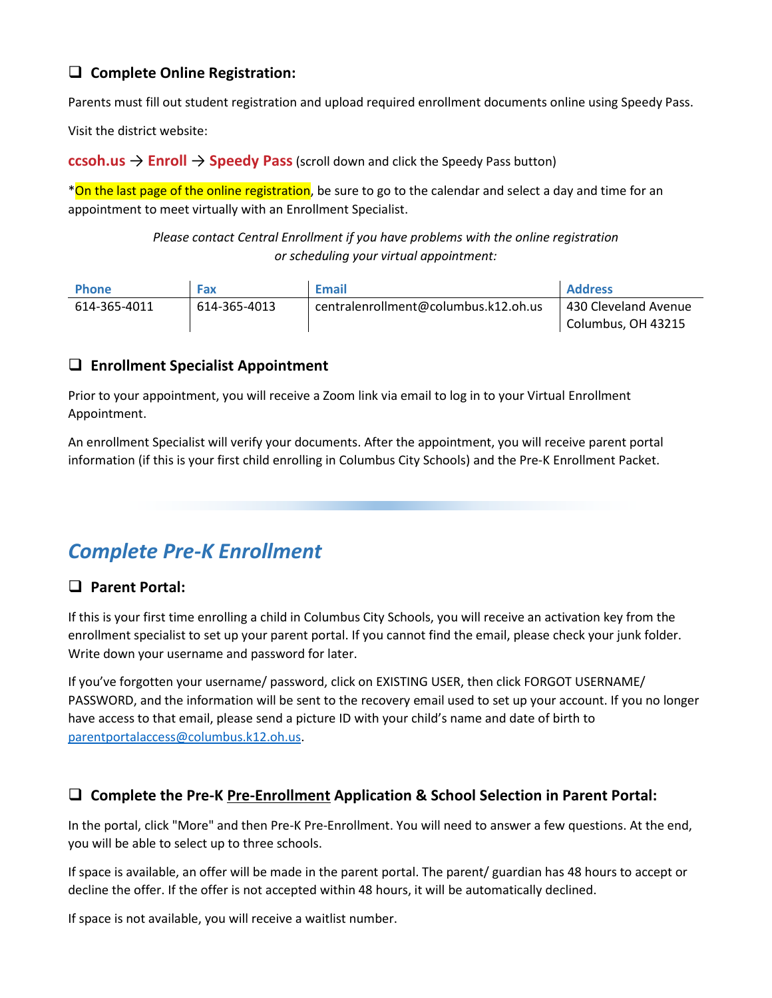# ❑ **Complete Online Registration:**

Parents must fill out student registration and upload required enrollment documents online using Speedy Pass.

Visit the district website:

**ccsoh.us** → **Enroll** → **Speedy Pass**(scroll down and click the Speedy Pass button)

\*On the last page of the online registration, be sure to go to the calendar and select a day and time for an appointment to meet virtually with an Enrollment Specialist.

> *Please contact Central Enrollment if you have problems with the online registration or scheduling your virtual appointment:*

| <b>Phone</b> | Fax          | <b>Email</b>                         | <b>Address</b>       |
|--------------|--------------|--------------------------------------|----------------------|
| 614-365-4011 | 614-365-4013 | centralenrollment@columbus.k12.oh.us | 430 Cleveland Avenue |
|              |              |                                      | Columbus, OH 43215   |

#### ❑ **Enrollment Specialist Appointment**

Prior to your appointment, you will receive a Zoom link via email to log in to your Virtual Enrollment Appointment.

An enrollment Specialist will verify your documents. After the appointment, you will receive parent portal information (if this is your first child enrolling in Columbus City Schools) and the Pre-K Enrollment Packet.

# *Complete Pre-K Enrollment*

### ❑ **Parent Portal:**

If this is your first time enrolling a child in Columbus City Schools, you will receive an activation key from the enrollment specialist to set up your parent portal. If you cannot find the email, please check your junk folder. Write down your username and password for later.

If you've forgotten your username/ password, click on EXISTING USER, then click FORGOT USERNAME/ PASSWORD, and the information will be sent to the recovery email used to set up your account. If you no longer have access to that email, please send a picture ID with your child's name and date of birth to [parentportalaccess@columbus.k12.oh.us.](mailto:parentportalaccess@columbus.k12.oh.us)

### ❑ **Complete the Pre-K Pre-Enrollment Application & School Selection in Parent Portal:**

In the portal, click "More" and then Pre-K Pre-Enrollment. You will need to answer a few questions. At the end, you will be able to select up to three schools.

If space is available, an offer will be made in the parent portal. The parent/ guardian has 48 hours to accept or decline the offer. If the offer is not accepted within 48 hours, it will be automatically declined.

If space is not available, you will receive a waitlist number.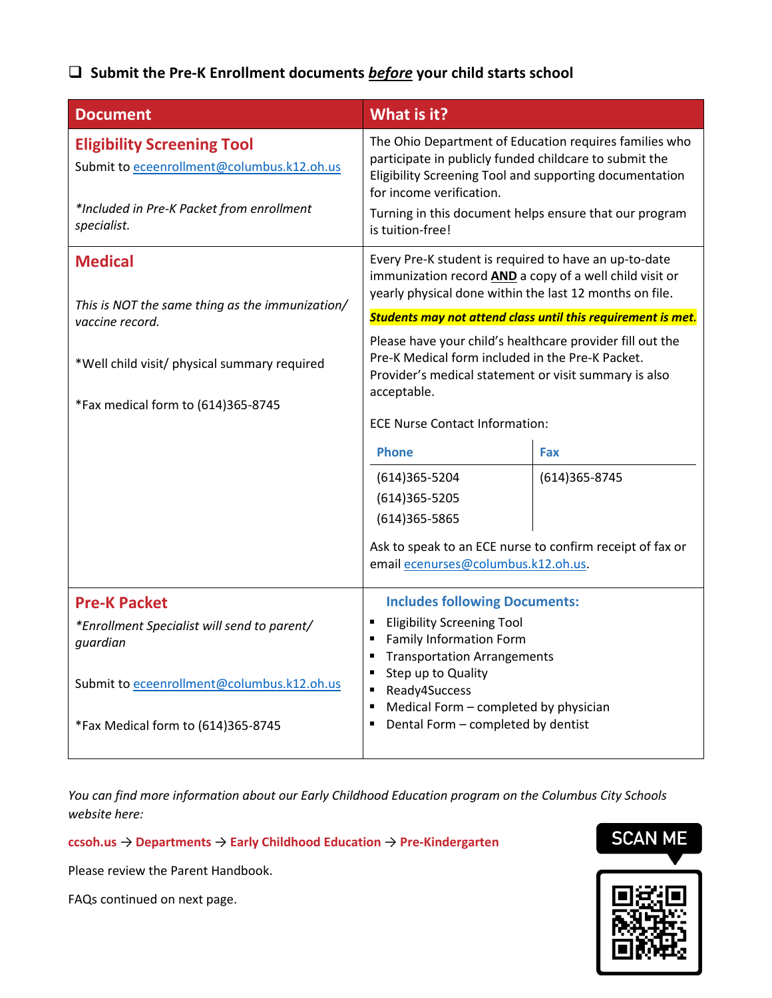# ❑ **Submit the Pre-K Enrollment documents** *before* **your child starts school**

| <b>Document</b>                                                                                                                                                    | What is it?                                                                                                                                                                                                                                                                                 |                   |
|--------------------------------------------------------------------------------------------------------------------------------------------------------------------|---------------------------------------------------------------------------------------------------------------------------------------------------------------------------------------------------------------------------------------------------------------------------------------------|-------------------|
| <b>Eligibility Screening Tool</b><br>Submit to eceenrollment@columbus.k12.oh.us<br>*Included in Pre-K Packet from enrollment<br>specialist.                        | The Ohio Department of Education requires families who<br>participate in publicly funded childcare to submit the<br>Eligibility Screening Tool and supporting documentation<br>for income verification.<br>Turning in this document helps ensure that our program<br>is tuition-free!       |                   |
| <b>Medical</b><br>This is NOT the same thing as the immunization/                                                                                                  | Every Pre-K student is required to have an up-to-date<br>immunization record <b>AND</b> a copy of a well child visit or<br>yearly physical done within the last 12 months on file.                                                                                                          |                   |
| vaccine record.                                                                                                                                                    | Students may not attend class until this requirement is met.                                                                                                                                                                                                                                |                   |
| *Well child visit/ physical summary required<br>*Fax medical form to (614)365-8745                                                                                 | Please have your child's healthcare provider fill out the<br>Pre-K Medical form included in the Pre-K Packet.<br>Provider's medical statement or visit summary is also<br>acceptable.<br><b>ECE Nurse Contact Information:</b>                                                              |                   |
|                                                                                                                                                                    |                                                                                                                                                                                                                                                                                             |                   |
|                                                                                                                                                                    | <b>Phone</b>                                                                                                                                                                                                                                                                                | Fax               |
|                                                                                                                                                                    | $(614)365 - 5204$<br>$(614)365 - 5205$<br>$(614)365 - 5865$<br>Ask to speak to an ECE nurse to confirm receipt of fax or<br>email ecenurses@columbus.k12.oh.us.                                                                                                                             | $(614)365 - 8745$ |
| <b>Pre-K Packet</b><br>*Enrollment Specialist will send to parent/<br>guardian<br>Submit to eceenrollment@columbus.k12.oh.us<br>*Fax Medical form to (614)365-8745 | <b>Includes following Documents:</b><br><b>Eligibility Screening Tool</b><br><b>Family Information Form</b><br><b>Transportation Arrangements</b><br>Step up to Quality<br>п<br>Ready4Success<br>п<br>Medical Form - completed by physician<br>п<br>Dental Form - completed by dentist<br>Е |                   |

*You can find more information about our Early Childhood Education program on the Columbus City Schools website here:*

**ccsoh.us** → **Departments** → **Early Childhood Education** → **Pre-Kindergarten**

Please review the Parent Handbook.

FAQs continued on next page.